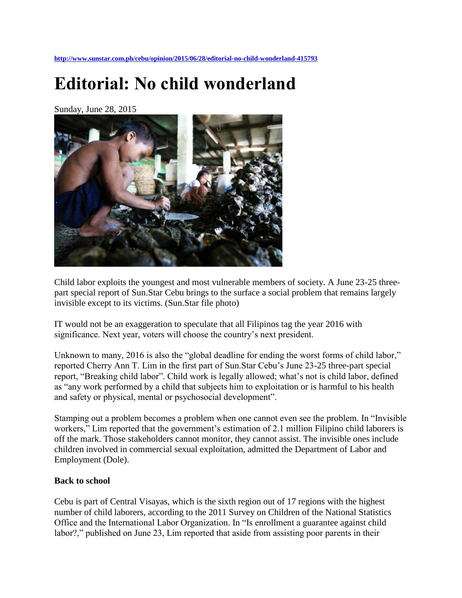**<http://www.sunstar.com.ph/cebu/opinion/2015/06/28/editorial-no-child-wonderland-415793>**

# **Editorial: No child wonderland**

Sunday, June 28, 2015



Child labor exploits the youngest and most vulnerable members of society. A June 23-25 threepart special report of Sun.Star Cebu brings to the surface a social problem that remains largely invisible except to its victims. (Sun.Star file photo)

IT would not be an exaggeration to speculate that all Filipinos tag the year 2016 with significance. Next year, voters will choose the country's next president.

Unknown to many, 2016 is also the "global deadline for ending the worst forms of child labor," reported Cherry Ann T. Lim in the first part of Sun.Star Cebu's June 23-25 three-part special report, "Breaking child labor". Child work is legally allowed; what's not is child labor, defined as "any work performed by a child that subjects him to exploitation or is harmful to his health and safety or physical, mental or psychosocial development".

Stamping out a problem becomes a problem when one cannot even see the problem. In "Invisible workers," Lim reported that the government's estimation of 2.1 million Filipino child laborers is off the mark. Those stakeholders cannot monitor, they cannot assist. The invisible ones include children involved in commercial sexual exploitation, admitted the Department of Labor and Employment (Dole).

#### **Back to school**

Cebu is part of Central Visayas, which is the sixth region out of 17 regions with the highest number of child laborers, according to the 2011 Survey on Children of the National Statistics Office and the International Labor Organization. In "Is enrollment a guarantee against child labor?," published on June 23, Lim reported that aside from assisting poor parents in their